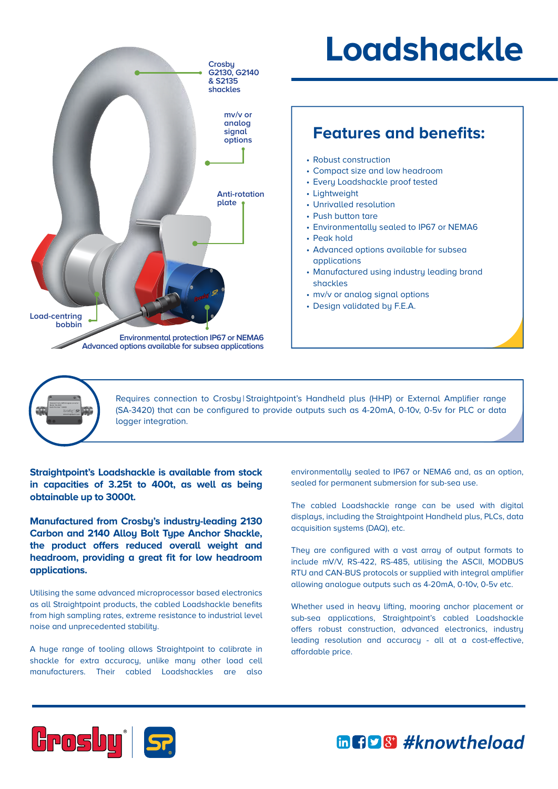

## **Loadshackle**

## **Features and benefits:**

- Robust construction
- Compact size and low headroom
- Every Loadshackle proof tested
- Lightweight
- Unrivalled resolution
- Push button tare
- Environmentally sealed to IP67 or NEMA6
- Peak hold
- Advanced options available for subsea applications
- Manufactured using industry leading brand shackles
- mv/v or analog signal options
- Design validated by F.E.A.



Requires connection to Crosby | Straightpoint's Handheld plus (HHP) or External Amplifier range (SA-3420) that can be configured to provide outputs such as 4-20mA, 0-10v, 0-5v for PLC or data logger integration.

**Straightpoint's Loadshackle is available from stock in capacities of 3.25t to 400t, as well as being obtainable up to 3000t.**

**Manufactured from Crosby's industry-leading 2130 Carbon and 2140 Alloy Bolt Type Anchor Shackle, the product offers reduced overall weight and headroom, providing a great fit for low headroom applications.**

Utilising the same advanced microprocessor based electronics as all Straightpoint products, the cabled Loadshackle benefits from high sampling rates, extreme resistance to industrial level noise and unprecedented stability.

A huge range of tooling allows Straightpoint to calibrate in shackle for extra accuracy, unlike many other load cell manufacturers. Their cabled Loadshackles are also

environmentally sealed to IP67 or NEMA6 and, as an option, sealed for permanent submersion for sub-sea use.

The cabled Loadshackle range can be used with digital displays, including the Straightpoint Handheld plus, PLCs, data acquisition systems (DAQ), etc.

They are configured with a vast array of output formats to include mV/V, RS-422, RS-485, utilising the ASCII, MODBUS RTU and CAN-BUS protocols or supplied with integral amplifier allowing analogue outputs such as 4-20mA, 0-10v, 0-5v etc.

Whether used in heavy lifting, mooring anchor placement or sub-sea applications, Straightpoint's cabled Loadshackle offers robust construction, advanced electronics, industry leading resolution and accuracy - all at a cost-effective, affordable price.



mnps #knowtheload